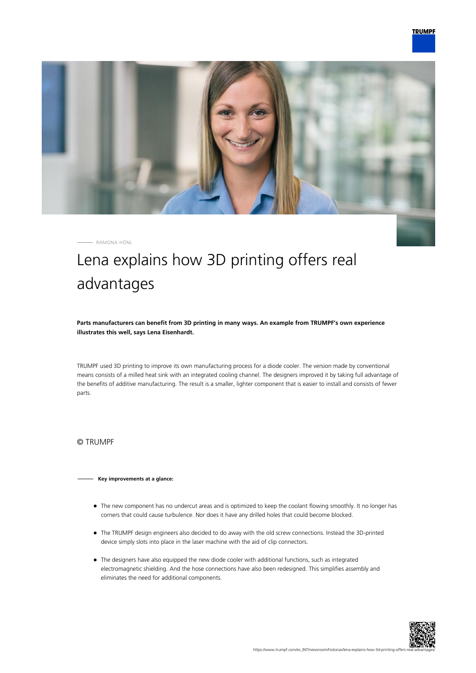

RAMONA HÖNL

## Lena explains how 3D printing offers real advantages

**Parts manufacturers can benefit from 3D printing in many ways. An example from TRUMPF's own experience illustrates this well, says Lena Eisenhardt.**

TRUMPF used 3D printing to improve its own manufacturing process for a diode cooler. The version made by conventional means consists of a milled heat sink with an integrated cooling channel. The designers improved it by taking full advantage of the benefits of additive manufacturing. The result is a smaller, lighter component that is easier to install and consists of fewer parts.

© TRUMPF

## **Key improvements at a glance:**

- The new component has no undercut areas and is optimized to keep the coolant flowing smoothly. It no longer has corners that could cause turbulence. Nor does it have any drilled holes that could become blocked.
- The TRUMPF design engineers also decided to do away with the old screw connections. Instead the 3D-printed device simply slots into place in the laser machine with the aid of clip connectors.
- The designers have also equipped the new diode cooler with additional functions, such as integrated electromagnetic shielding. And the hose connections have also been redesigned. This simplifies assembly and eliminates the need for additional components.